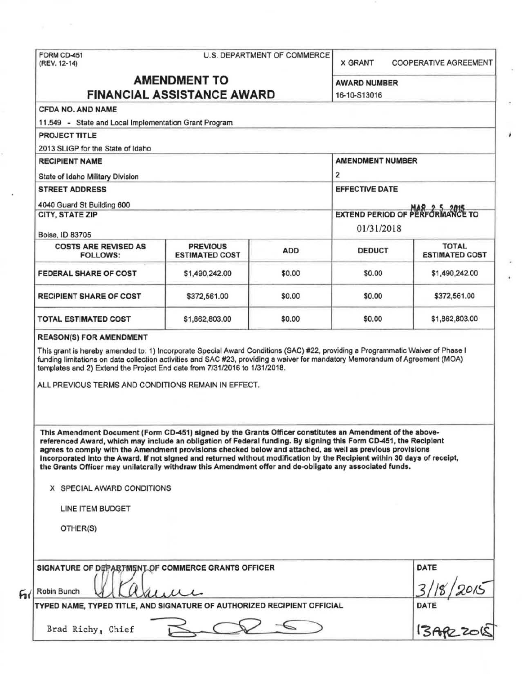|                                                                                                                                                                                                                                                                                                                                                                                                                                                                                                                                                                                                                                                 |                       | <b>X GRANT</b>                                                                                                                 | <b>COOPERATIVE AGREEMENT</b> |                       |
|-------------------------------------------------------------------------------------------------------------------------------------------------------------------------------------------------------------------------------------------------------------------------------------------------------------------------------------------------------------------------------------------------------------------------------------------------------------------------------------------------------------------------------------------------------------------------------------------------------------------------------------------------|-----------------------|--------------------------------------------------------------------------------------------------------------------------------|------------------------------|-----------------------|
| <b>AMENDMENT TO</b><br><b>FINANCIAL ASSISTANCE AWARD</b>                                                                                                                                                                                                                                                                                                                                                                                                                                                                                                                                                                                        |                       |                                                                                                                                | <b>AWARD NUMBER</b>          |                       |
|                                                                                                                                                                                                                                                                                                                                                                                                                                                                                                                                                                                                                                                 |                       |                                                                                                                                | 16-10-S13016                 |                       |
| <b>CFDA NO. AND NAME</b>                                                                                                                                                                                                                                                                                                                                                                                                                                                                                                                                                                                                                        |                       |                                                                                                                                |                              |                       |
| 11.549 - State and Local Implementation Grant Program                                                                                                                                                                                                                                                                                                                                                                                                                                                                                                                                                                                           |                       |                                                                                                                                |                              |                       |
| <b>PROJECT TITLE</b>                                                                                                                                                                                                                                                                                                                                                                                                                                                                                                                                                                                                                            |                       |                                                                                                                                |                              |                       |
| 2013 SLIGP for the State of Idaho                                                                                                                                                                                                                                                                                                                                                                                                                                                                                                                                                                                                               |                       |                                                                                                                                |                              |                       |
| <b>RECIPIENT NAME</b>                                                                                                                                                                                                                                                                                                                                                                                                                                                                                                                                                                                                                           |                       |                                                                                                                                | <b>AMENDMENT NUMBER</b>      |                       |
| State of Idaho Military Division                                                                                                                                                                                                                                                                                                                                                                                                                                                                                                                                                                                                                |                       |                                                                                                                                | 2                            |                       |
| <b>STREET ADDRESS</b>                                                                                                                                                                                                                                                                                                                                                                                                                                                                                                                                                                                                                           |                       |                                                                                                                                | <b>EFFECTIVE DATE</b>        |                       |
| 4040 Guard St Building 600                                                                                                                                                                                                                                                                                                                                                                                                                                                                                                                                                                                                                      |                       |                                                                                                                                |                              |                       |
| <b>CITY, STATE ZIP</b>                                                                                                                                                                                                                                                                                                                                                                                                                                                                                                                                                                                                                          |                       | EXTEND PERIOD OF PERFORMANCE TO                                                                                                |                              |                       |
| Boise, ID 83705                                                                                                                                                                                                                                                                                                                                                                                                                                                                                                                                                                                                                                 |                       |                                                                                                                                | 01/31/2018                   |                       |
| <b>COSTS ARE REVISED AS</b>                                                                                                                                                                                                                                                                                                                                                                                                                                                                                                                                                                                                                     | <b>PREVIOUS</b>       |                                                                                                                                |                              | <b>TOTAL</b>          |
| <b>FOLLOWS:</b>                                                                                                                                                                                                                                                                                                                                                                                                                                                                                                                                                                                                                                 | <b>ESTIMATED COST</b> | <b>ADD</b>                                                                                                                     | <b>DEDUCT</b>                | <b>ESTIMATED COST</b> |
| <b>FEDERAL SHARE OF COST</b>                                                                                                                                                                                                                                                                                                                                                                                                                                                                                                                                                                                                                    | \$1,490,242.00        | \$0.00                                                                                                                         | \$0.00                       | \$1,490,242.00        |
| <b>RECIPIENT SHARE OF COST</b>                                                                                                                                                                                                                                                                                                                                                                                                                                                                                                                                                                                                                  | \$372,561.00          | \$0.00                                                                                                                         | \$0.00                       | \$372,561.00          |
| <b>TOTAL ESTIMATED COST</b>                                                                                                                                                                                                                                                                                                                                                                                                                                                                                                                                                                                                                     | \$1,862,803.00        | \$0.00                                                                                                                         | \$0.00                       | \$1,862,803.00        |
|                                                                                                                                                                                                                                                                                                                                                                                                                                                                                                                                                                                                                                                 |                       | This grant is hereby amended to: 1) Incorporate Special Award Conditions (SAC) #22, providing a Programmatic Waiver of Phase I |                              |                       |
| funding limitations on data collection activities and SAC #23, providing a waiver for mandatory Memorandum of Agreement (MOA)<br>templates and 2) Extend the Project End date from 7/31/2016 to 1/31/2018.<br>ALL PREVIOUS TERMS AND CONDITIONS REMAIN IN EFFECT.                                                                                                                                                                                                                                                                                                                                                                               |                       |                                                                                                                                |                              |                       |
| This Amendment Document (Form CD-451) signed by the Grants Officer constitutes an Amendment of the above-<br>referenced Award, which may include an obligation of Federal funding. By signing this Form CD-451, the Recipient<br>agrees to comply with the Amendment provisions checked below and attached, as well as previous provisions<br>incorporated into the Award. If not signed and returned without modification by the Recipient within 30 days of receipt,<br>the Grants Officer may unilaterally withdraw this Amendment offer and de-obligate any associated funds.<br>X SPECIAL AWARD CONDITIONS<br>LINE ITEM BUDGET<br>OTHER(S) |                       |                                                                                                                                |                              |                       |
|                                                                                                                                                                                                                                                                                                                                                                                                                                                                                                                                                                                                                                                 |                       |                                                                                                                                |                              | DATE                  |
| SIGNATURE OF DEPARTMENT OF COMMERCE GRANTS OFFICER<br>Robin Bunch<br>TYPED NAME, TYPED TITLE, AND SIGNATURE OF AUTHORIZED RECIPIENT OFFICIAL                                                                                                                                                                                                                                                                                                                                                                                                                                                                                                    |                       |                                                                                                                                |                              | DATE                  |
|                                                                                                                                                                                                                                                                                                                                                                                                                                                                                                                                                                                                                                                 |                       |                                                                                                                                |                              | <b>ISARE</b>          |

 $\boldsymbol{i}$